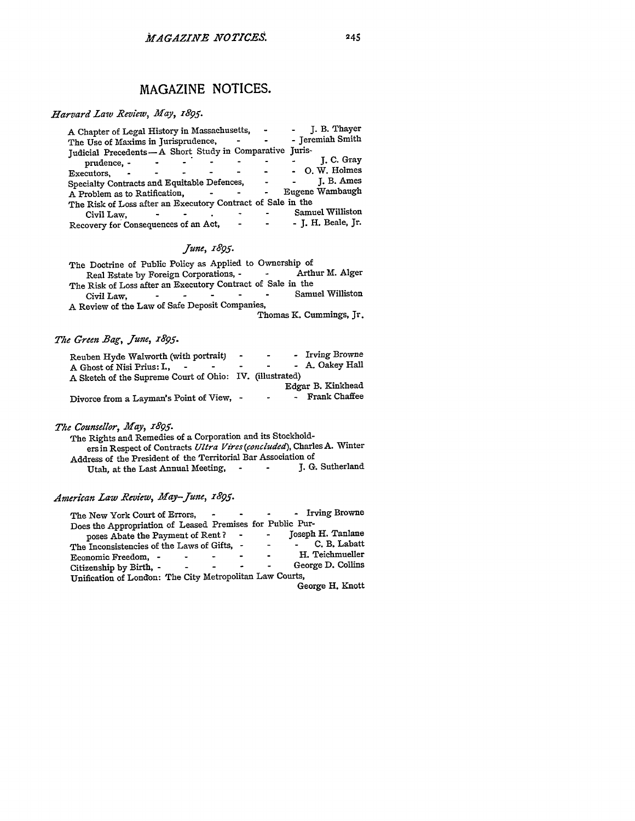#### *Harvard Law Review, May,* **1895.**

| A Chapter of Legal History in Massachusetts,                | $\blacksquare$ | J. B. Thayer       |
|-------------------------------------------------------------|----------------|--------------------|
| The Use of Maxims in Jurisprudence,                         |                | - Jeremiah Smith   |
| Judicial Precedents-A Short Study in Comparative Juris-     |                |                    |
| prudence, -                                                 |                | J. C. Gray         |
| Executors.                                                  |                | - O.W. Holmes      |
| Specialty Contracts and Equitable Defences,                 | $\blacksquare$ | J. B. Ames         |
| A Problem as to Ratification,                               |                | Eugene Wambaugh    |
| The Risk of Loss after an Executory Contract of Sale in the |                |                    |
| Civil Law,                                                  |                | Samuel Williston   |
| Recovery for Consequences of an Act,                        |                | - J. H. Beale, Jr. |
|                                                             |                |                    |

## *June, 1895.*

| The Doctrine of Public Policy as Applied to Ownership of                                       |
|------------------------------------------------------------------------------------------------|
| Arthur M. Alger<br>Real Estate by Foreign Corporations, -<br><b>Contract Contract Contract</b> |
| The Risk of Loss after an Executory Contract of Sale in the                                    |
| Samuel Williston<br>Civil Law.<br>$\bullet$                                                    |
| A Review of the Law of Safe Deposit Companies,                                                 |
| Thomas K. Cummings, Jr.                                                                        |

## *The Green Bag, June, 7895.*

| Reuben Hyde Walworth (with portrait)                     | <b>State State</b> | $\blacksquare$ | - Irving Browne   |
|----------------------------------------------------------|--------------------|----------------|-------------------|
| A Ghost of Nisi Prius: I.,                               | -                  | $\sim$         | - A. Oakey Hall   |
| A Sketch of the Supreme Court of Ohio: IV. (illustrated) |                    |                |                   |
|                                                          |                    |                | Edgar B. Kinkhead |
| Divorce from a Layman's Point of View, -                 |                    | $\blacksquare$ | - Frank Chaffee   |

## *The Counsellor, May, r895.*

| The Rights and Remedies of a Corporation and its Stockhold-            |
|------------------------------------------------------------------------|
| ers in Respect of Contracts Ultra Vires (concluded), Charles A. Winter |
| Address of the President of the Territorial Bar Association of         |
| J. G. Sutherland<br>Utah, at the Last Annual Meeting, -<br>$\sim$      |

# *American Law Review, May-June, 1895.*

| - Irving Browne<br>The New York Court of Errors,<br>$\sim 100$<br>$\overline{\phantom{a}}$ |  |
|--------------------------------------------------------------------------------------------|--|
| Does the Appropriation of Leased Premises for Public Pur-                                  |  |
| Joseph H. Tanlane<br>poses Abate the Payment of Rent?<br>$\blacksquare$                    |  |
| C. B. Labatt<br>The Inconsistencies of the Laws of Gifts, -                                |  |
| H. Teichmueller<br>Economic Freedom, -                                                     |  |
| George D. Collins<br>Citizenship by Birth, -<br>$\blacksquare$                             |  |
| Unification of London: The City Metropolitan Law Courts,                                   |  |
| George H. Knott                                                                            |  |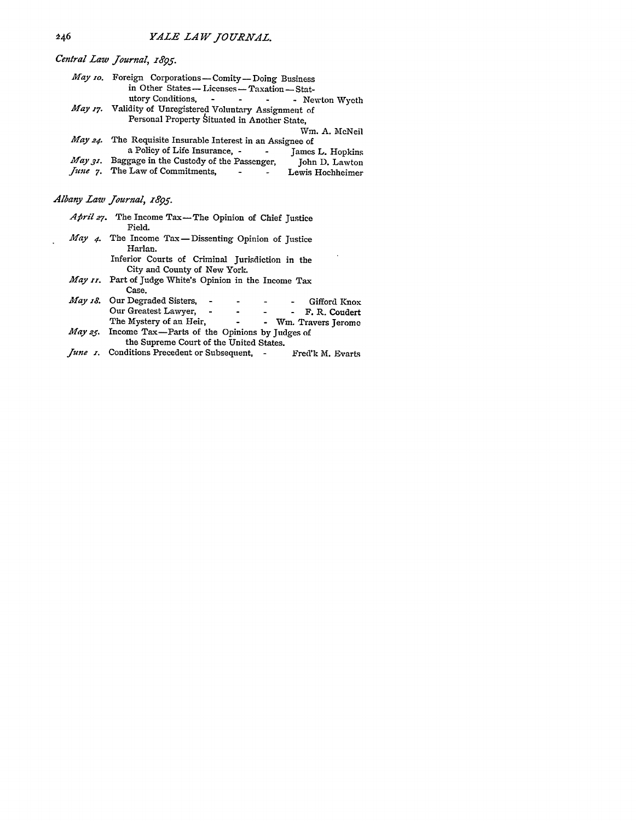*Central Law Journal, z895.*

| May 10. Foreign Corporations-Comity-Doing Business                                                    |                  |
|-------------------------------------------------------------------------------------------------------|------------------|
| in Other States -- Licenses -- Taxation -- Stat-                                                      |                  |
| utory Conditions, the contract of the conditions, the conditions of the conditions of the conditions. | - Newton Wyeth   |
| May 17. Validity of Unregistered Voluntary Assignment of                                              |                  |
| Personal Property Situated in Another State,                                                          |                  |
|                                                                                                       | Wm. A. McNeil    |
| May $24$ . The Requisite Insurable Interest in an Assignee of                                         |                  |
| a Policy of Life Insurance, -                                                                         | James L. Hopkins |
| May 31. Baggage in the Custody of the Passenger,                                                      | John D. Lawton   |
| <i>June</i> 7. The Law of Commitments,<br>and the state of the state of                               | Lewis Hochheimer |

*Albany Law Journal, 1895.*

| April 27. The Income Tax-The Opinion of Chief Justice<br>Field.                                                         |
|-------------------------------------------------------------------------------------------------------------------------|
| May 4. The Income Tax-Dissenting Opinion of Justice<br>Harlan.                                                          |
| Inferior Courts of Criminal Jurisdiction in the<br>City and County of New York.                                         |
| May 11. Part of Judge White's Opinion in the Income Tax<br>Case.                                                        |
| <i>May 18.</i> Our Degraded Sisters, -<br>- Gifford Knox<br>Our Greatest Lawyer, -<br>- F. R. Coudert<br>$\blacksquare$ |
| The Mystery of an Heir, The Mystery of an Heir,<br>- Wm. Travers Jerome                                                 |
| May 25. Income Tax—Parts of the Opinions by Judges of<br>the Supreme Court of the United States.                        |
|                                                                                                                         |

*June z.* Conditions Precedent or Subsequent, **-** Fred'k M. Evart-

 $\bar{z}$